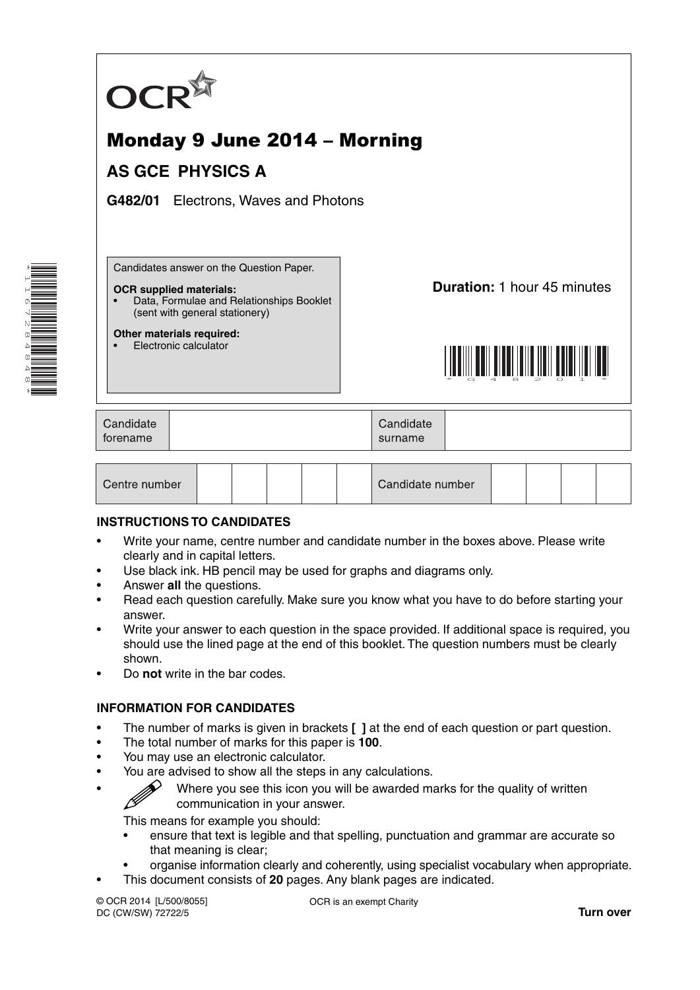

# Monday 9 June 2014 – Morning

# **AS GCE PHYSICS A**

**G482/01** Electrons, Waves and Photons

Candidates answer on the Question Paper.

#### **OCR supplied materials:**

• Data, Formulae and Relationships Booklet (sent with general stationery)

**Other materials required:** • Electronic calculator

**Duration:** 1 hour 45 minutes



| Candidate<br>torename | Candidate<br>surname |  |
|-----------------------|----------------------|--|
|                       |                      |  |

#### **INSTRUCTIONS TO CANDIDATES**

- Write your name, centre number and candidate number in the boxes above. Please write clearly and in capital letters.
- Use black ink. HB pencil may be used for graphs and diagrams only.
- Answer **all** the questions.
- Read each question carefully. Make sure you know what you have to do before starting your answer.
- Write your answer to each question in the space provided. If additional space is required, you should use the lined page at the end of this booklet. The question numbers must be clearly shown.
- Do **not** write in the bar codes.

# **INFORMATION FOR CANDIDATES**

- The number of marks is given in brackets **[ ]** at the end of each question or part question.
- The total number of marks for this paper is **100**.
- You may use an electronic calculator.
- You are advised to show all the steps in any calculations.
- Where you see this icon you will be awarded marks for the quality of written communication in your answer.

This means for example you should:

- ensure that text is legible and that spelling, punctuation and grammar are accurate so that meaning is clear;
- organise information clearly and coherently, using specialist vocabulary when appropriate.
- This document consists of **20** pages. Any blank pages are indicated.

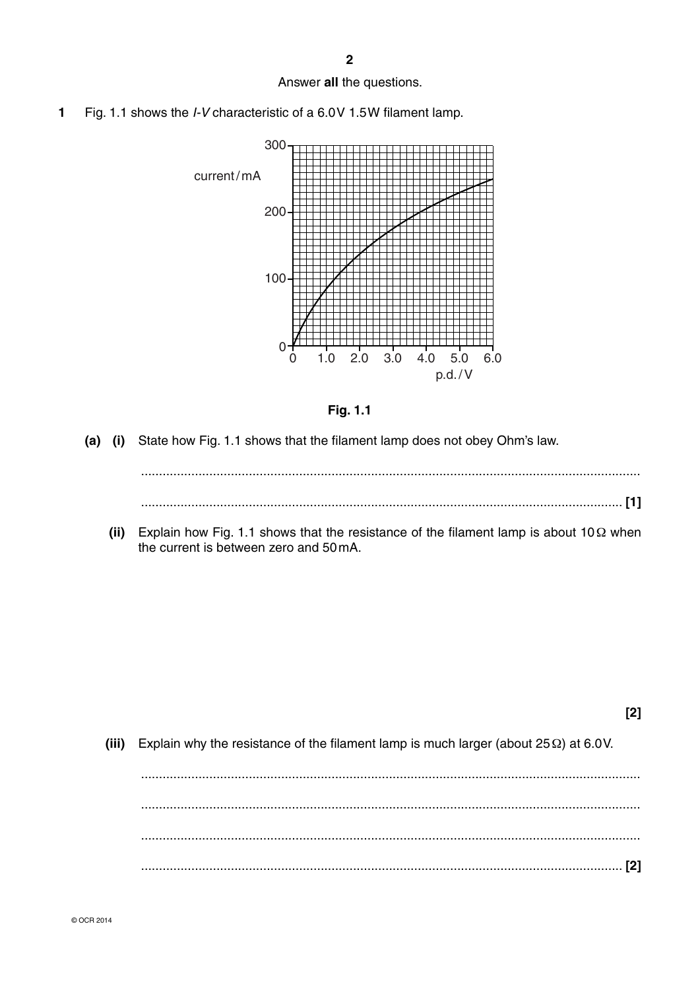$\overline{2}$ 

#### Answer all the questions.

Fig. 1.1 shows the *I-V* characteristic of a 6.0V 1.5W filament lamp.  $\mathbf{1}$ 





 $(a)$  (i) State how Fig. 1.1 shows that the filament lamp does not obey Ohm's law.

(ii) Explain how Fig. 1.1 shows that the resistance of the filament lamp is about 10 $\Omega$  when the current is between zero and 50 mA.

 $(iii)$ Explain why the resistance of the filament lamp is much larger (about  $25 \Omega$ ) at 6.0V.

 $[2]$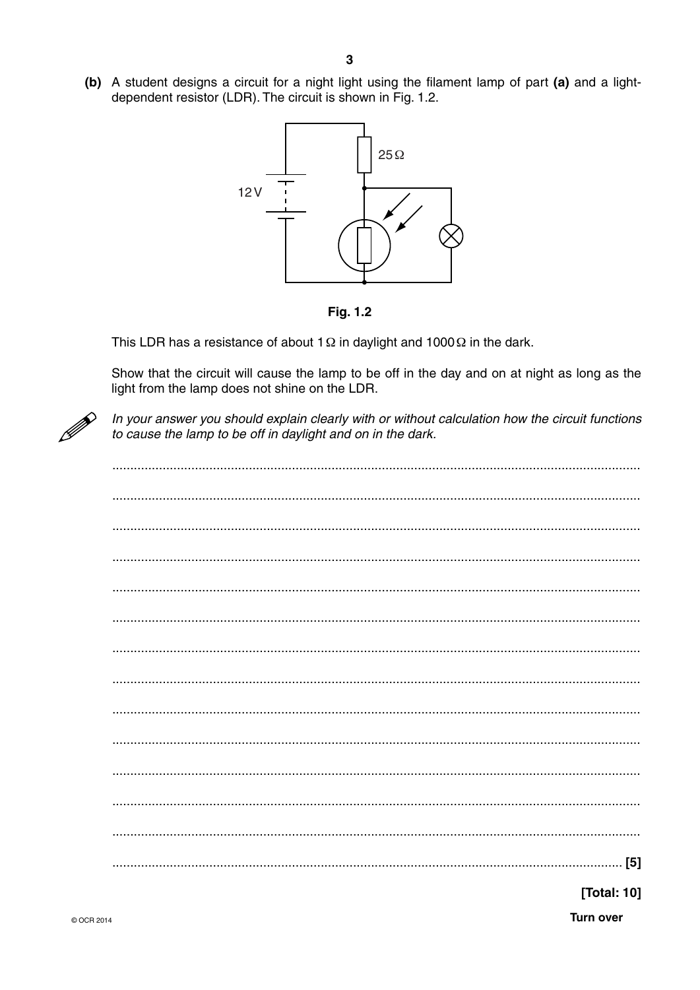(b) A student designs a circuit for a night light using the filament lamp of part (a) and a lightdependent resistor (LDR). The circuit is shown in Fig. 1.2.





This LDR has a resistance of about 1  $\Omega$  in daylight and 1000  $\Omega$  in the dark.

Show that the circuit will cause the lamp to be off in the day and on at night as long as the light from the lamp does not shine on the LDR.



In your answer you should explain clearly with or without calculation how the circuit functions to cause the lamp to be off in daylight and on in the dark.

| [Total: 10] |  |
|-------------|--|

**Turn over**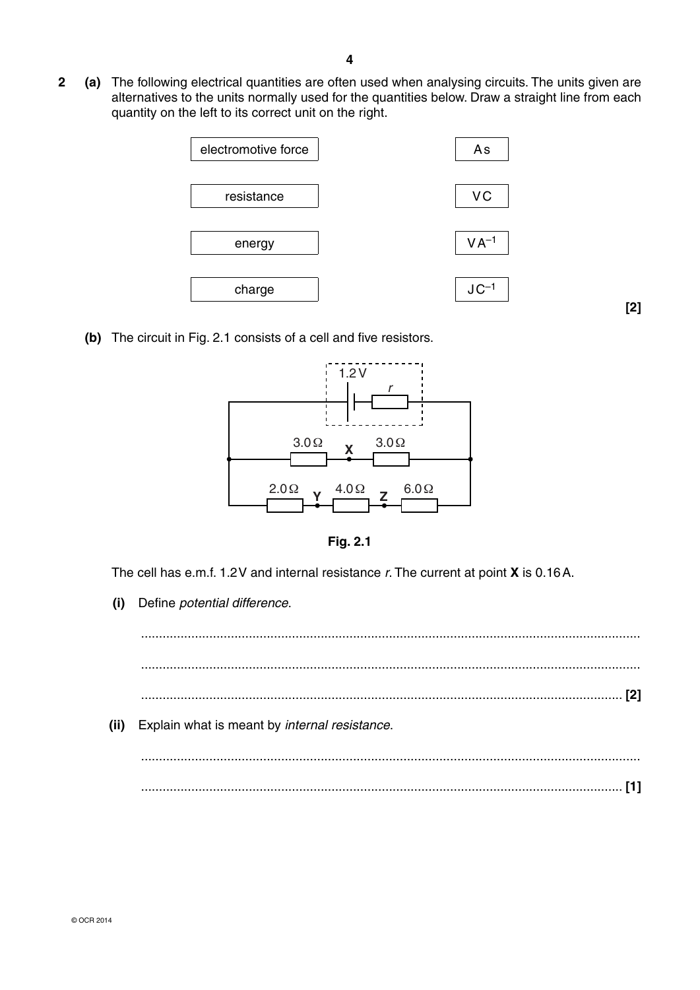**2 (a)** The following electrical quantities are often used when analysing circuits. The units given are alternatives to the units normally used for the quantities below. Draw a straight line from each quantity on the left to its correct unit on the right.



**[2]**

 **(b)** The circuit in Fig. 2.1 consists of a cell and five resistors.





The cell has e.m.f. 1.2 V and internal resistance *r*. The current at point **X** is 0.16 A.

 **(i)** Define *potential difference*.

 ........................................................................................................................................... ........................................................................................................................................... ...................................................................................................................................... **[2] (ii)** Explain what is meant by *internal resistance*. ........................................................................................................................................... ...................................................................................................................................... **[1]**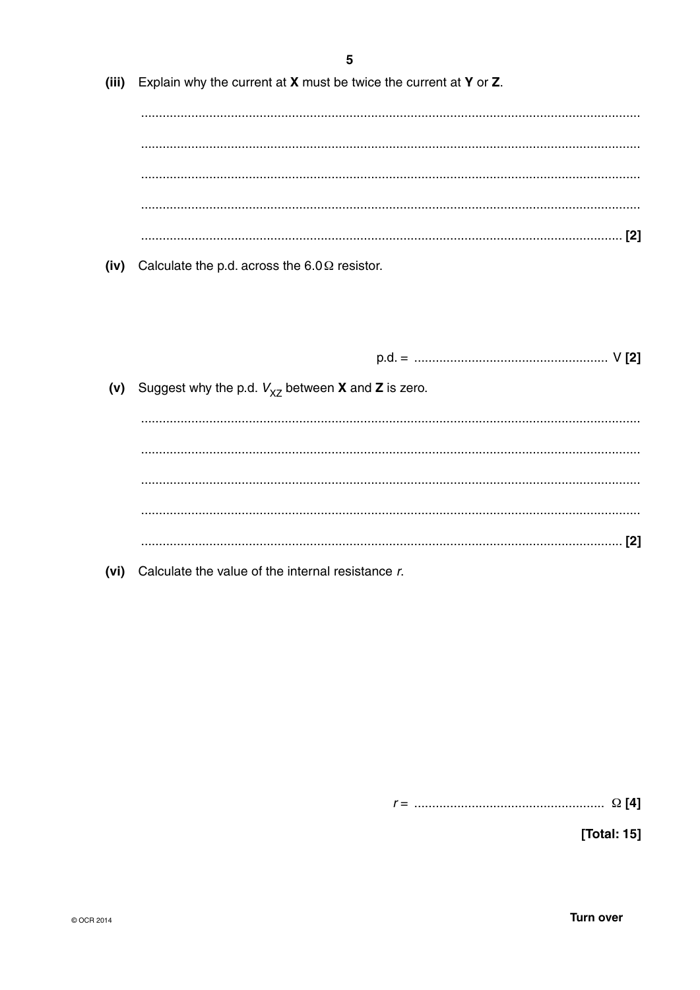|       | 5                                                                        |
|-------|--------------------------------------------------------------------------|
| (iii) | Explain why the current at $X$ must be twice the current at $Y$ or $Z$ . |
|       |                                                                          |
|       |                                                                          |
|       |                                                                          |
|       |                                                                          |
|       |                                                                          |
| (iv)  | Calculate the p.d. across the $6.0 \Omega$ resistor.                     |
|       |                                                                          |
|       |                                                                          |
| (v)   | Suggest why the p.d. $V_{\chi Z}$ between <b>X</b> and <b>Z</b> is zero. |
|       |                                                                          |
|       |                                                                          |
|       |                                                                          |
|       |                                                                          |

(vi) Calculate the value of the internal resistance  $r$ .

[Total: 15]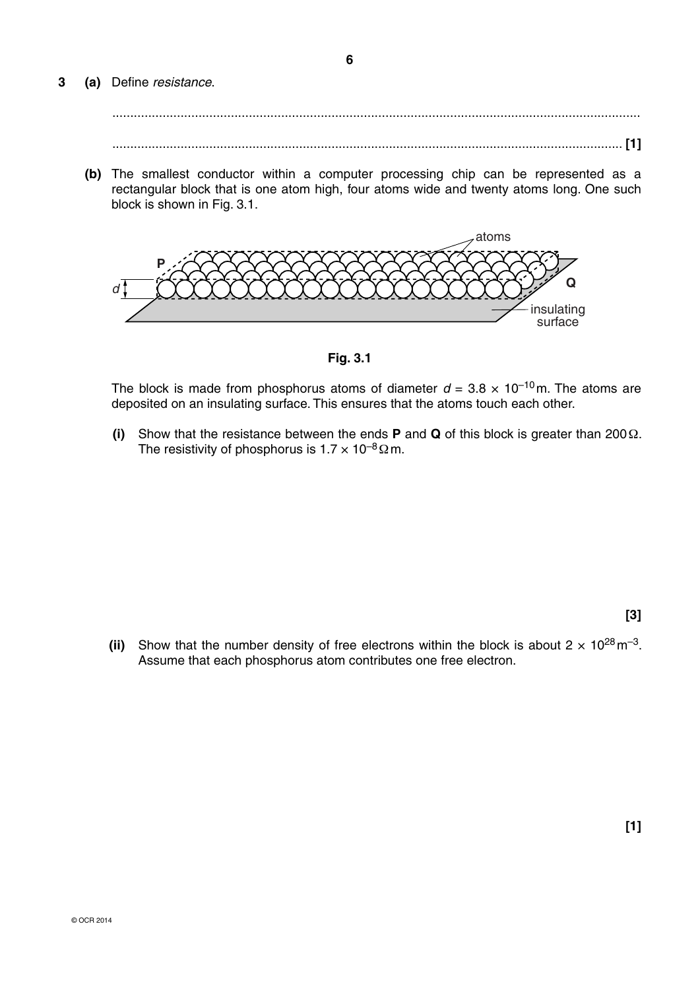**3 (a)** Define *resistance*.

.............................................................................................................................................. **[1]**

 **(b)** The smallest conductor within a computer processing chip can be represented as a rectangular block that is one atom high, four atoms wide and twenty atoms long. One such block is shown in Fig. 3.1.



**Fig. 3.1**

The block is made from phosphorus atoms of diameter  $d = 3.8 \times 10^{-10}$  m. The atoms are deposited on an insulating surface. This ensures that the atoms touch each other.

 **(i)** Show that the resistance between the ends **P** and **Q** of this block is greater than 200 Ω. The resistivity of phosphorus is  $1.7 \times 10^{-8} \Omega$  m.

**[3]**

**(ii)** Show that the number density of free electrons within the block is about  $2 \times 10^{28}$  m<sup>-3</sup>. Assume that each phosphorus atom contributes one free electron.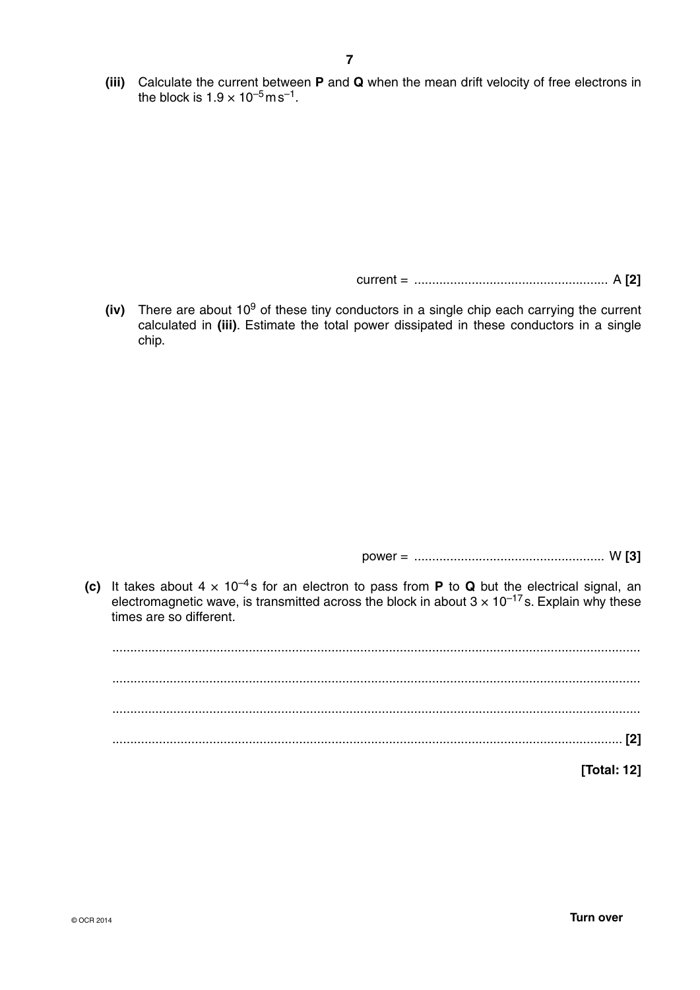**(iii)** Calculate the current between **P** and **Q** when the mean drift velocity of free electrons in the block is  $1.9 \times 10^{-5}$  m s<sup>-1</sup>.

current = ...................................................... A **[2]**

**(iv)** There are about 10<sup>9</sup> of these tiny conductors in a single chip each carrying the current calculated in **(iii)**. Estimate the total power dissipated in these conductors in a single chip.

power = ..................................................... W **[3]**

**(c)** It takes about  $4 \times 10^{-4}$ s for an electron to pass from **P** to **Q** but the electrical signal, an electromagnetic wave, is transmitted across the block in about  $3 \times 10^{-17}$  s. Explain why these times are so different.

 ................................................................................................................................................... ................................................................................................................................................... ................................................................................................................................................... .............................................................................................................................................. **[2] [Total: 12]**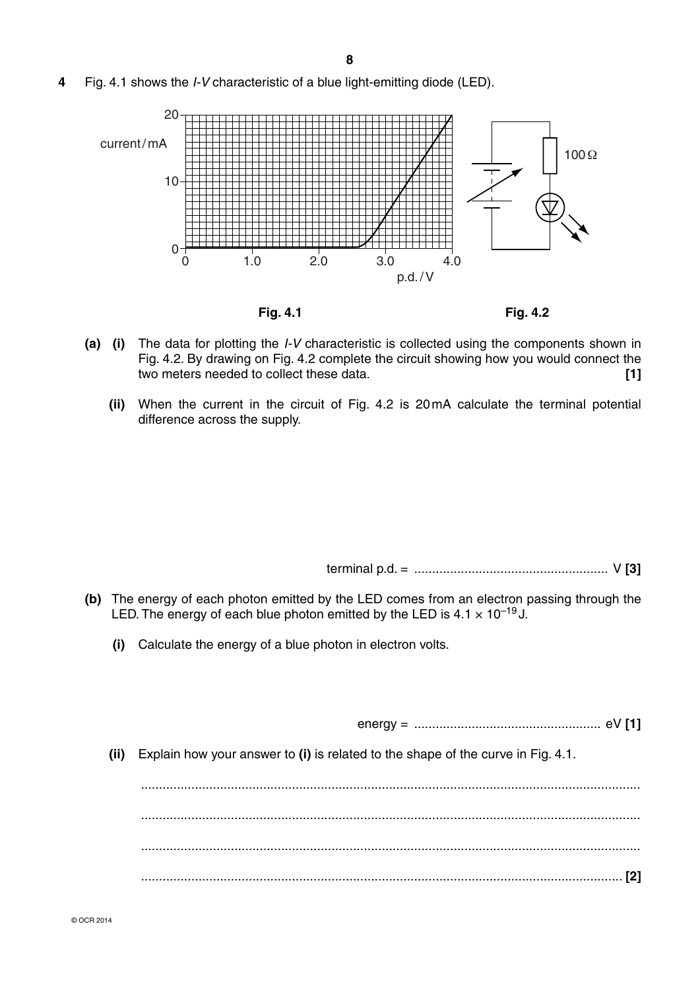**4** Fig. 4.1 shows the *I-V* characteristic of a blue light-emitting diode (LED).



- **(a) (i)** The data for plotting the *I-V* characteristic is collected using the components shown in Fig. 4.2. By drawing on Fig. 4.2 complete the circuit showing how you would connect the two meters needed to collect these data. **[1]**
	- **(ii)** When the current in the circuit of Fig. 4.2 is 20 mA calculate the terminal potential difference across the supply.

terminal p.d. = ...................................................... V **[3]**

- **(b)** The energy of each photon emitted by the LED comes from an electron passing through the LED. The energy of each blue photon emitted by the LED is  $4.1 \times 10^{-19}$  J.
	- **(i)** Calculate the energy of a blue photon in electron volts.

energy = .................................................... eV **[1]**

 **(ii)** Explain how your answer to **(i)** is related to the shape of the curve in Fig. 4.1.

 ........................................................................................................................................... ........................................................................................................................................... ........................................................................................................................................... ...................................................................................................................................... **[2]**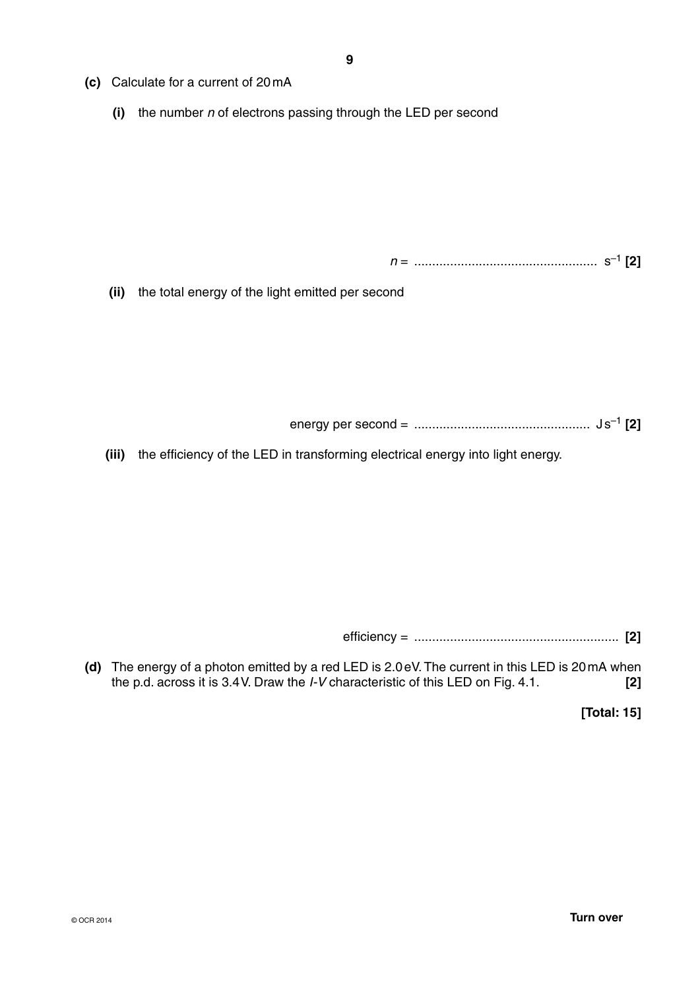- **(c)** Calculate for a current of 20 mA
	- **(i)** the number *n* of electrons passing through the LED per second

*n* = ................................................... s–1 **[2]**

 **(ii)** the total energy of the light emitted per second

energy per second = ................................................. J s–1 **[2]**

 **(iii)** the efficiency of the LED in transforming electrical energy into light energy.

efficiency = ......................................................... **[2]**

 **(d)** The energy of a photon emitted by a red LED is 2.0 eV. The current in this LED is 20 mA when the p.d. across it is 3.4 V. Draw the *I-V* characteristic of this LED on Fig. 4.1. **[2]**

**[Total: 15]**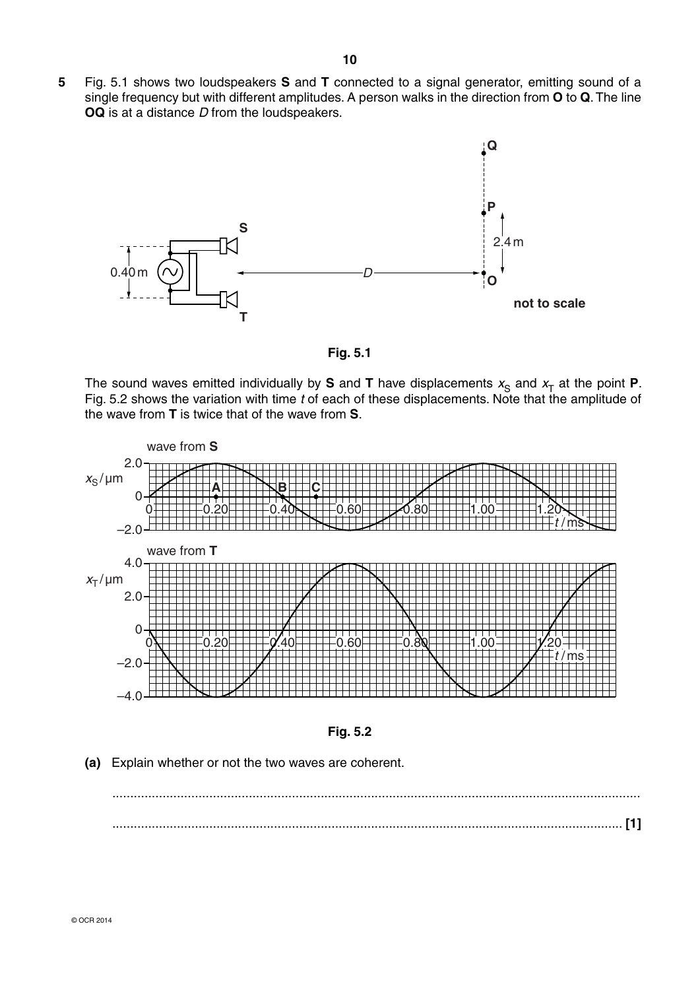**5** Fig. 5.1 shows two loudspeakers **S** and **T** connected to a signal generator, emitting sound of a single frequency but with different amplitudes. A person walks in the direction from **O** to **Q**. The line **OQ** is at a distance *D* from the loudspeakers.





The sound waves emitted individually by **S** and **T** have displacements  $x_S$  and  $x_T$  at the point **P**. Fig. 5.2 shows the variation with time *t* of each of these displacements. Note that the amplitude of the wave from **T** is twice that of the wave from **S**.



**Fig. 5.2**

 **(a)** Explain whether or not the two waves are coherent.

 ................................................................................................................................................... .............................................................................................................................................. **[1]**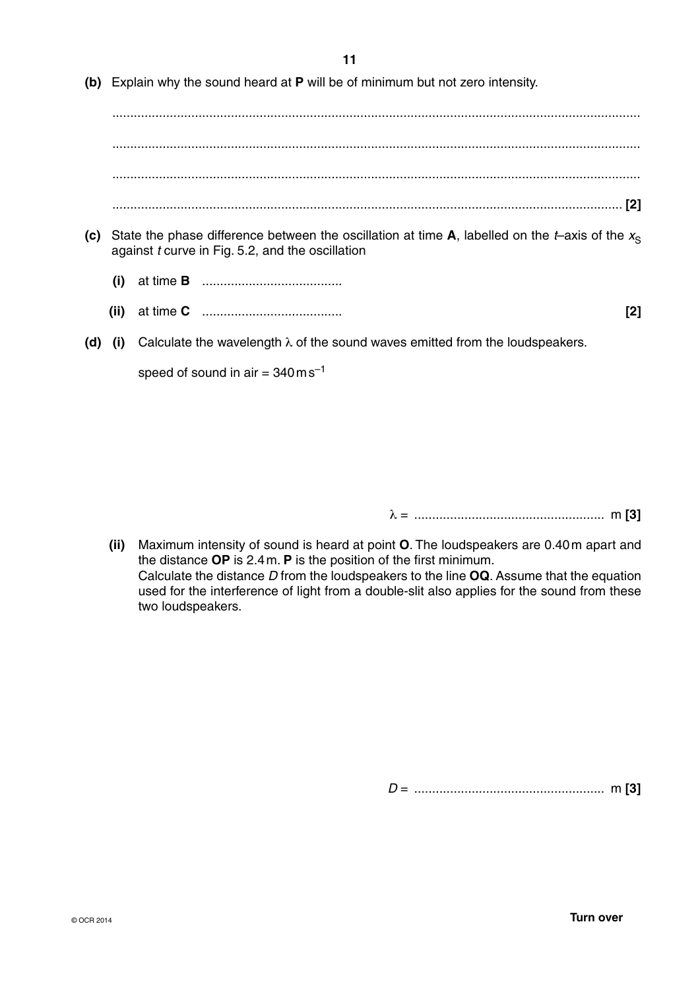**11**

 **(b)** Explain why the sound heard at **P** will be of minimum but not zero intensity.

 ................................................................................................................................................... ................................................................................................................................................... ................................................................................................................................................... .............................................................................................................................................. **[2]**

- **(c)** State the phase difference between the oscillation at time **A**, labelled on the *t*–axis of the  $x_s$ against *t* curve in Fig. 5.2, and the oscillation
	- **(i)** at time **B** .......................................
	- **(ii)** at time **C** ....................................... **[2]**
		-
- **(d) (i)** Calculate the wavelength λ of the sound waves emitted from the loudspeakers.

speed of sound in air  $= 340 \text{ m s}^{-1}$ 

λ = ..................................................... m **[3]**

 **(ii)** Maximum intensity of sound is heard at point **O**. The loudspeakers are 0.40 m apart and the distance **OP** is 2.4 m. **P** is the position of the first minimum. Calculate the distance *D* from the loudspeakers to the line **OQ**. Assume that the equation used for the interference of light from a double-slit also applies for the sound from these two loudspeakers.

*D* = ..................................................... m **[3]**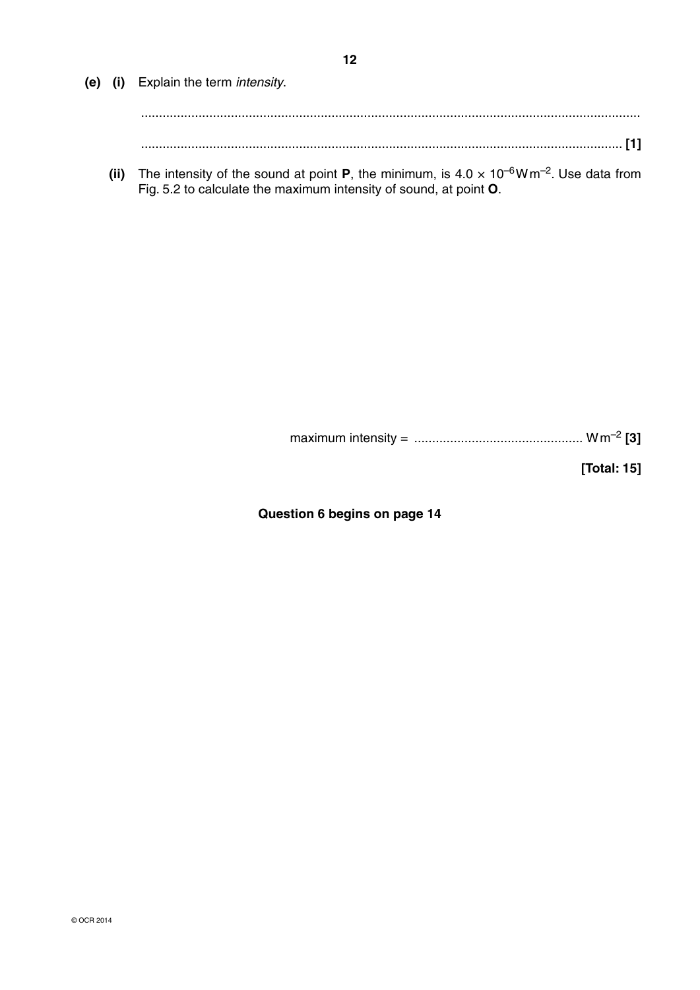**(e) (i)** Explain the term *intensity*. ........................................................................................................................................... ...................................................................................................................................... **[1]**

**(ii)** The intensity of the sound at point **P**, the minimum, is  $4.0 \times 10^{-6}$ W m<sup>-2</sup>. Use data from Fig. 5.2 to calculate the maximum intensity of sound, at point **O**.

maximum intensity = ............................................... W m–2 **[3]**

**[Total: 15]**

**Question 6 begins on page 14**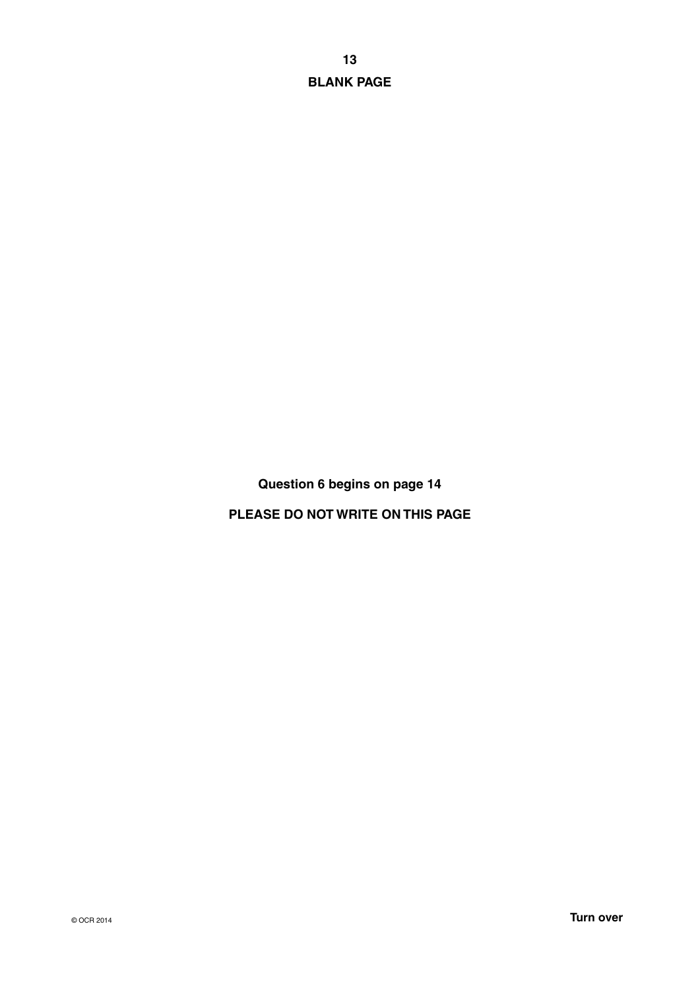**13 BLANK PAGE**

**Question 6 begins on page 14**

**PLEASE DO NOT WRITE ON THIS PAGE**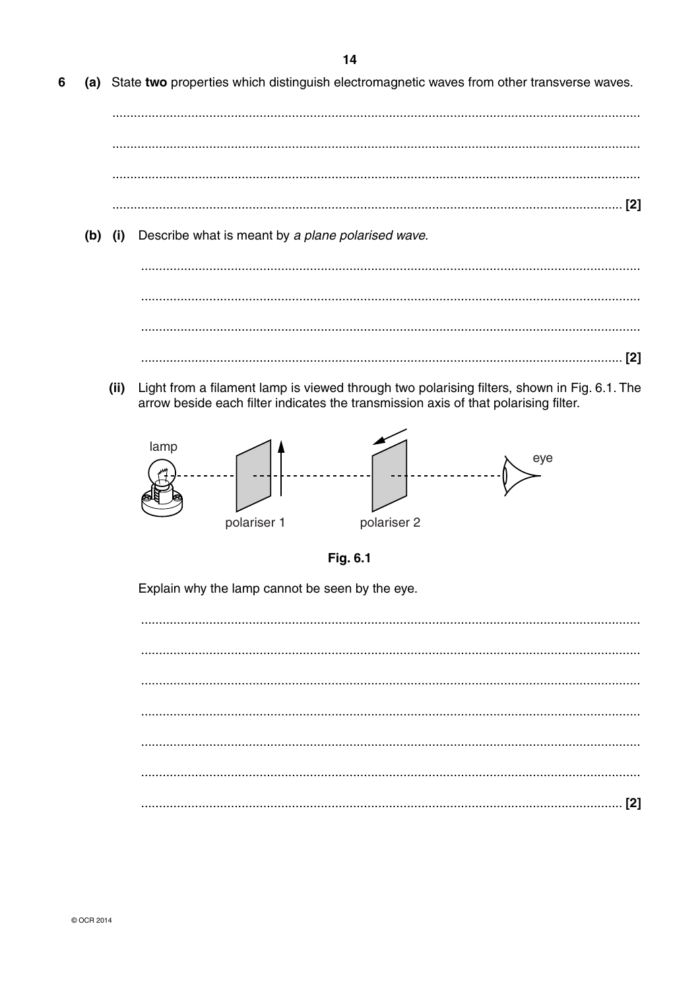- 6 (a) State two properties which distinguish electromagnetic waves from other transverse waves. (b) (i) Describe what is meant by a plane polarised wave.
	- (ii) Light from a filament lamp is viewed through two polarising filters, shown in Fig. 6.1. The arrow beside each filter indicates the transmission axis of that polarising filter.





Explain why the lamp cannot be seen by the eye.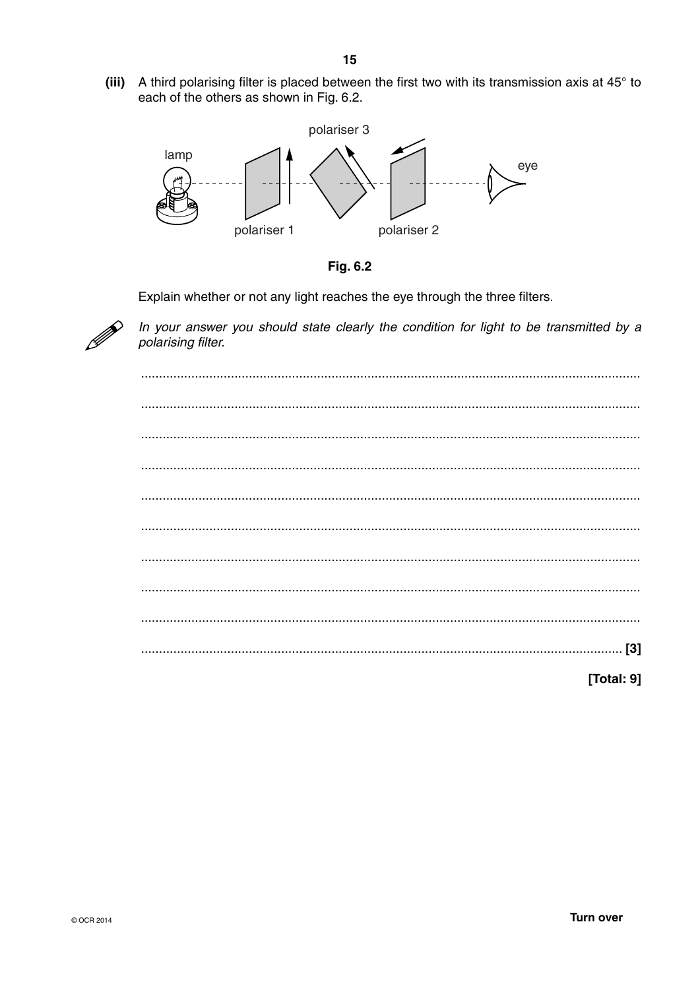(iii) A third polarising filter is placed between the first two with its transmission axis at 45° to each of the others as shown in Fig. 6.2.



 $15$ 



Explain whether or not any light reaches the eye through the three filters.



In your answer you should state clearly the condition for light to be transmitted by a polarising filter.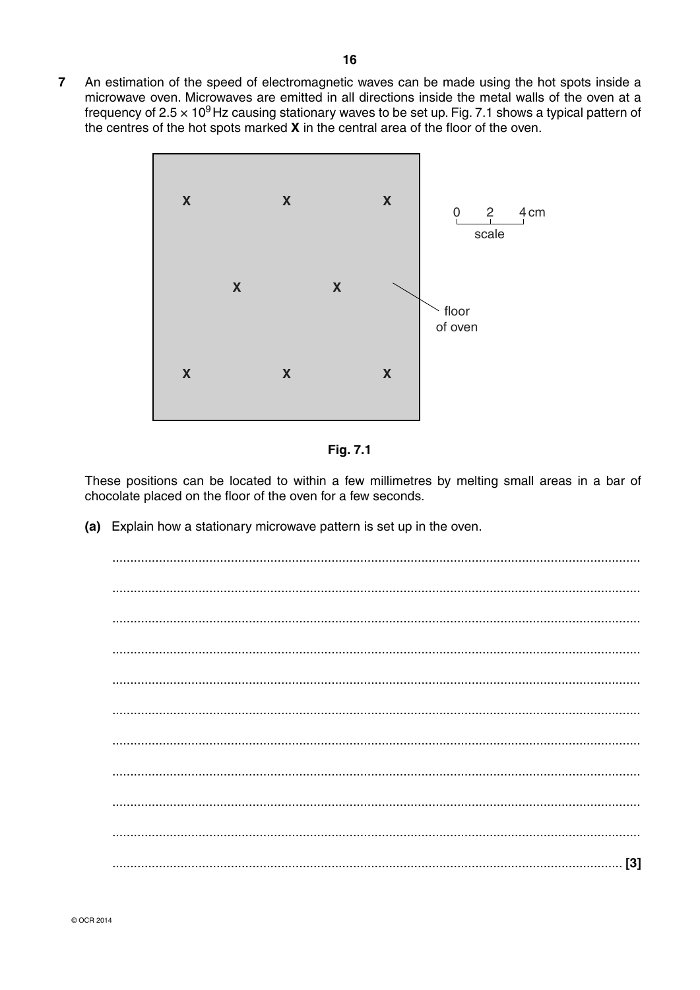$\overline{7}$ An estimation of the speed of electromagnetic waves can be made using the hot spots inside a microwave oven. Microwaves are emitted in all directions inside the metal walls of the oven at a frequency of  $2.5 \times 10^9$  Hz causing stationary waves to be set up. Fig. 7.1 shows a typical pattern of the centres of the hot spots marked **X** in the central area of the floor of the oven.





These positions can be located to within a few millimetres by melting small areas in a bar of chocolate placed on the floor of the oven for a few seconds.

(a) Explain how a stationary microwave pattern is set up in the oven.

| $131$ |
|-------|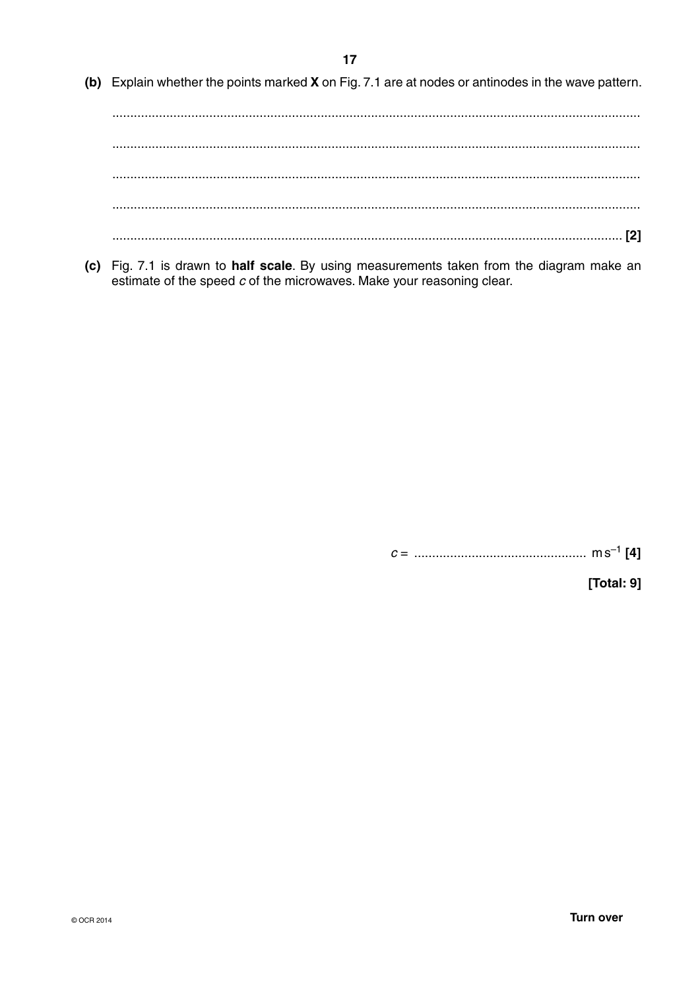(b) Explain whether the points marked X on Fig. 7.1 are at nodes or antinodes in the wave pattern.

(c) Fig. 7.1 is drawn to half scale. By using measurements taken from the diagram make an estimate of the speed  $c$  of the microwaves. Make your reasoning clear.

[Total: 9]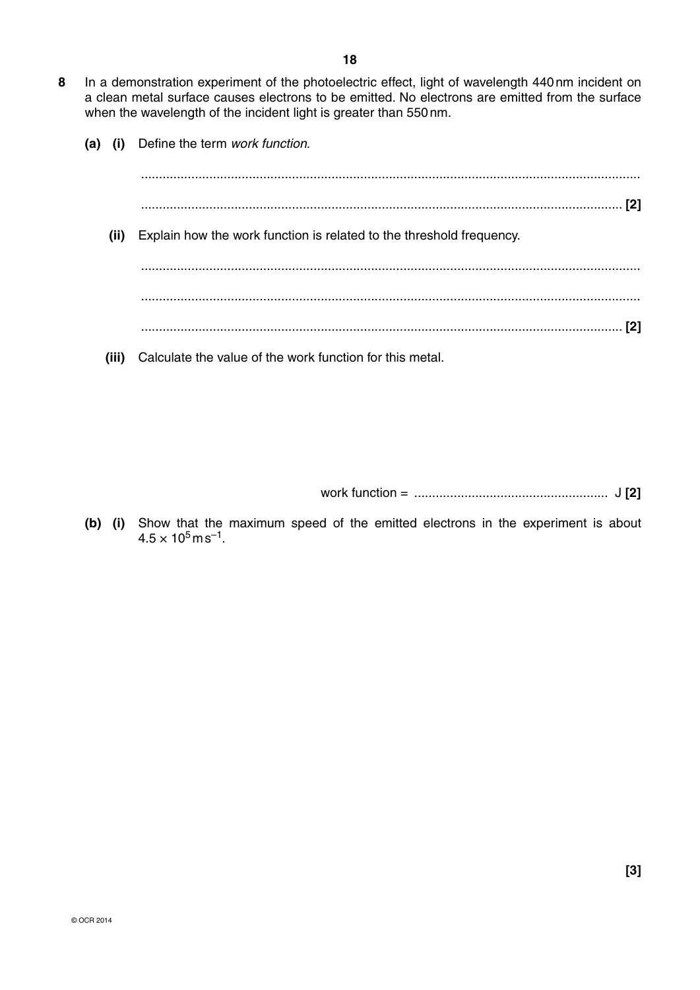- **8** In a demonstration experiment of the photoelectric effect, light of wavelength 440 nm incident on a clean metal surface causes electrons to be emitted. No electrons are emitted from the surface when the wavelength of the incident light is greater than 550 nm.
	- **(a) (i)** Define the term *work function*.

| (ii)  | Explain how the work function is related to the threshold frequency. |
|-------|----------------------------------------------------------------------|
|       |                                                                      |
|       |                                                                      |
|       |                                                                      |
| (iii) | Calculate the value of the work function for this metal.             |

work function = ...................................................... J **[2]**

 **(b) (i)** Show that the maximum speed of the emitted electrons in the experiment is about  $4.5 \times 10^5$  m s<sup>-1</sup>.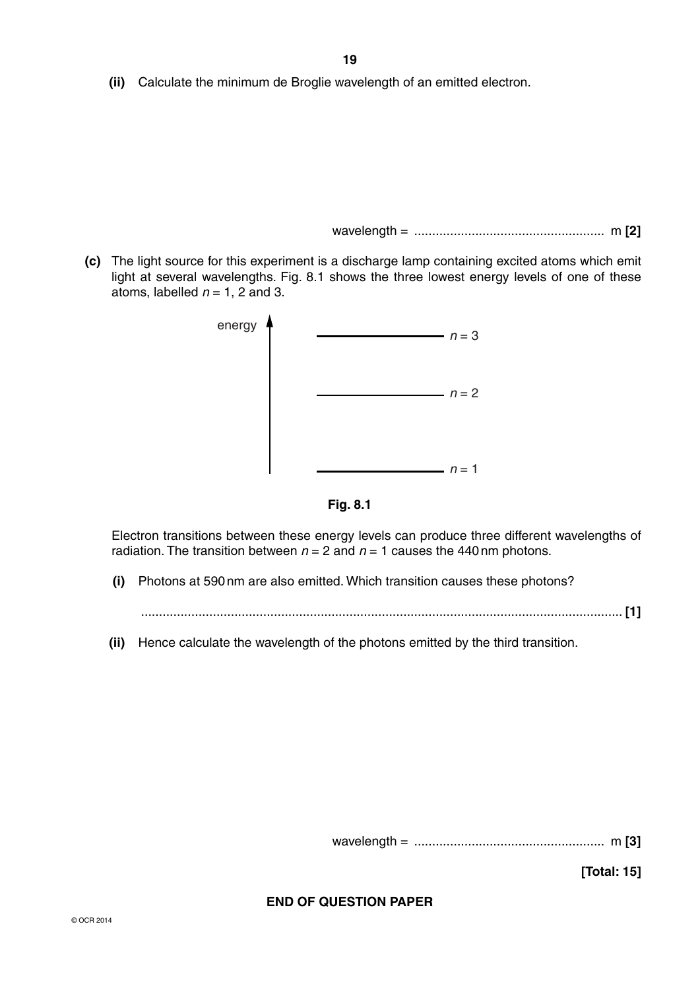**(ii)** Calculate the minimum de Broglie wavelength of an emitted electron.

wavelength = ..................................................... m **[2]**

 **(c)** The light source for this experiment is a discharge lamp containing excited atoms which emit light at several wavelengths. Fig. 8.1 shows the three lowest energy levels of one of these atoms, labelled  $n = 1$ , 2 and 3.



**Fig. 8.1**

Electron transitions between these energy levels can produce three different wavelengths of radiation. The transition between  $n = 2$  and  $n = 1$  causes the 440 nm photons.

 **(i)** Photons at 590 nm are also emitted. Which transition causes these photons?

...................................................................................................................................... **[1]**

 **(ii)** Hence calculate the wavelength of the photons emitted by the third transition.

wavelength = ..................................................... m **[3]**

**[Total: 15]**

## **END OF QUESTION PAPER**